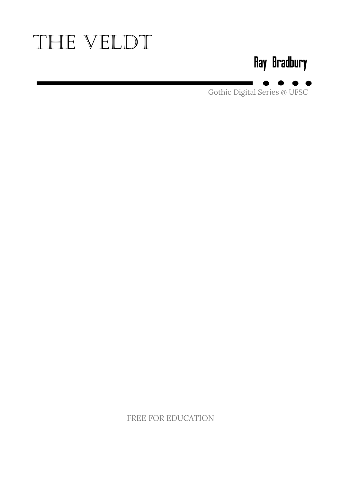## THE VELDT

## Ray Bradbury

Gothic Digital Series @ UFSC

FREE FOR EDUCATION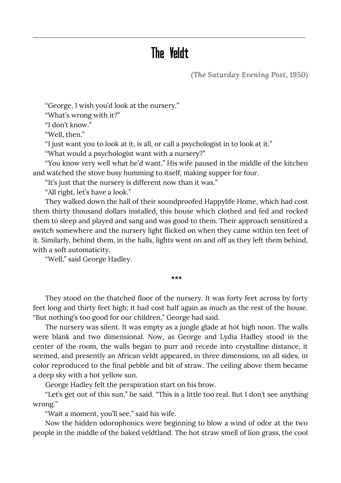## The Veldt

**(***The Saturday Evening Post,* **1950)**

"George, I wish you'd look at the nursery."

"What's wrong with it?"

"I don't know."

"Well, then."

"I just want you to look at it, is all, or call a psychologist in to look at it."

"What would a psychologist want with a nursery?"

"You know very well what he'd want." His wife paused in the middle of the kitchen and watched the stove busy humming to itself, making supper for four.

"It's just that the nursery is different now than it was."

"All right, let's have a look."

They walked down the hall of their soundproofed Happylife Home, which had cost them thirty thousand dollars installed, this house which clothed and fed and rocked them to sleep and played and sang and was good to them. Their approach sensitized a switch somewhere and the nursery light flicked on when they came within ten feet of it. Similarly, behind them, in the halls, lights went on and off as they left them behind, with a soft automaticity.

"Well," said George Hadley.

**\*\*\***

They stood on the thatched floor of the nursery. It was forty feet across by forty feet long and thirty feet high; it had cost half again as much as the rest of the house. "But nothing's too good for our children," George had said.

The nursery was silent. It was empty as a jungle glade at hot high noon. The walls were blank and two dimensional. Now, as George and Lydia Hadley stood in the center of the room, the walls began to purr and recede into crystalline distance, it seemed, and presently an African veldt appeared, in three dimensions, on all sides, in color reproduced to the final pebble and bit of straw. The ceiling above them became a deep sky with a hot yellow sun.

George Hadley felt the perspiration start on his brow.

"Let's get out of this sun," he said. "This is a little too real. But I don't see anything wrong."

"Wait a moment, you'll see," said his wife.

Now the hidden odorophonics were beginning to blow a wind of odor at the two people in the middle of the baked veldtland. The hot straw smell of lion grass, the cool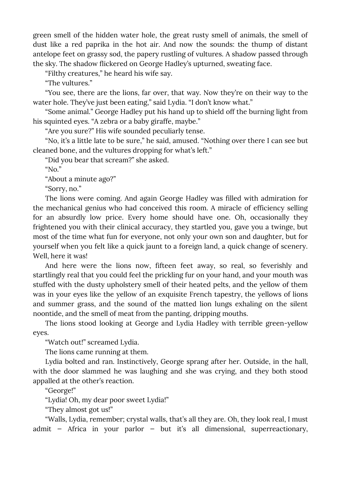green smell of the hidden water hole, the great rusty smell of animals, the smell of dust like a red paprika in the hot air. And now the sounds: the thump of distant antelope feet on grassy sod, the papery rustling of vultures. A shadow passed through the sky. The shadow flickered on George Hadley's upturned, sweating face.

"Filthy creatures," he heard his wife say.

"The vultures."

"You see, there are the lions, far over, that way. Now they're on their way to the water hole. They've just been eating," said Lydia. "I don't know what."

"Some animal." George Hadley put his hand up to shield off the burning light from his squinted eyes. "A zebra or a baby giraffe, maybe."

"Are you sure?" His wife sounded peculiarly tense.

"No, it's a little late to be sure," he said, amused. "Nothing over there I can see but cleaned bone, and the vultures dropping for what's left."

"Did you bear that scream?" she asked.

"No."

"About a minute ago?"

"Sorry, no."

The lions were coming. And again George Hadley was filled with admiration for the mechanical genius who had conceived this room. A miracle of efficiency selling for an absurdly low price. Every home should have one. Oh, occasionally they frightened you with their clinical accuracy, they startled you, gave you a twinge, but most of the time what fun for everyone, not only your own son and daughter, but for yourself when you felt like a quick jaunt to a foreign land, a quick change of scenery. Well, here it was!

And here were the lions now, fifteen feet away, so real, so feverishly and startlingly real that you could feel the prickling fur on your hand, and your mouth was stuffed with the dusty upholstery smell of their heated pelts, and the yellow of them was in your eyes like the yellow of an exquisite French tapestry, the yellows of lions and summer grass, and the sound of the matted lion lungs exhaling on the silent noontide, and the smell of meat from the panting, dripping mouths.

The lions stood looking at George and Lydia Hadley with terrible green-yellow eyes.

"Watch out!" screamed Lydia.

The lions came running at them.

Lydia bolted and ran. Instinctively, George sprang after her. Outside, in the hall, with the door slammed he was laughing and she was crying, and they both stood appalled at the other's reaction.

"George!"

"Lydia! Oh, my dear poor sweet Lydia!"

"They almost got us!"

"Walls, Lydia, remember; crystal walls, that's all they are. Oh, they look real, I must admit – Africa in your parlor – but it's all dimensional, superreactionary,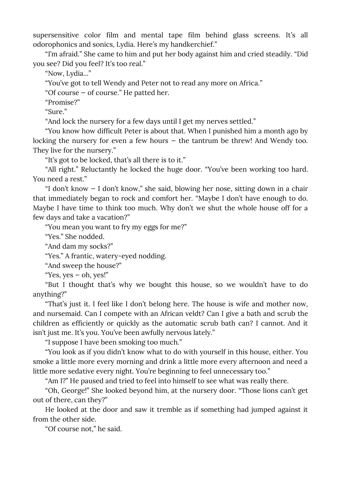supersensitive color film and mental tape film behind glass screens. It's all odorophonics and sonics, Lydia. Here's my handkerchief."

"I'm afraid." She came to him and put her body against him and cried steadily. "Did you see? Did you feel? It's too real."

"Now, Lydia..."

"You've got to tell Wendy and Peter not to read any more on Africa."

"Of course — of course." He patted her.

"Promise?"

"Sure."

"And lock the nursery for a few days until I get my nerves settled."

"You know how difficult Peter is about that. When I punished him a month ago by locking the nursery for even a few hours  $-$  the tantrum be threw! And Wendy too. They live for the nursery."

"It's got to be locked, that's all there is to it."

"All right." Reluctantly he locked the huge door. "You've been working too hard. You need a rest."

"I don't know — I don't know," she said, blowing her nose, sitting down in a chair that immediately began to rock and comfort her. "Maybe I don't have enough to do. Maybe I have time to think too much. Why don't we shut the whole house off for a few days and take a vacation?"

"You mean you want to fry my eggs for me?"

"Yes." She nodded.

"And dam my socks?"

"Yes." A frantic, watery-eyed nodding.

"And sweep the house?"

"Yes,  $yes - oh$ ,  $yes$ !"

"But I thought that's why we bought this house, so we wouldn't have to do anything?"

"That's just it. I feel like I don't belong here. The house is wife and mother now, and nursemaid. Can I compete with an African veldt? Can I give a bath and scrub the children as efficiently or quickly as the automatic scrub bath can? I cannot. And it isn't just me. It's you. You've been awfully nervous lately."

"I suppose I have been smoking too much."

"You look as if you didn't know what to do with yourself in this house, either. You smoke a little more every morning and drink a little more every afternoon and need a little more sedative every night. You're beginning to feel unnecessary too."

"Am I?" He paused and tried to feel into himself to see what was really there.

"Oh, George!" She looked beyond him, at the nursery door. "Those lions can't get out of there, can they?"

He looked at the door and saw it tremble as if something had jumped against it from the other side.

"Of course not," he said.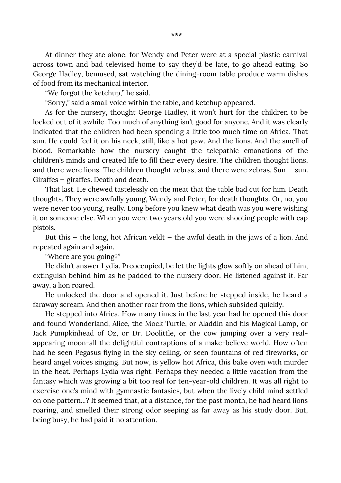At dinner they ate alone, for Wendy and Peter were at a special plastic carnival across town and bad televised home to say they'd be late, to go ahead eating. So George Hadley, bemused, sat watching the dining-room table produce warm dishes of food from its mechanical interior.

"We forgot the ketchup," he said.

"Sorry," said a small voice within the table, and ketchup appeared.

As for the nursery, thought George Hadley, it won't hurt for the children to be locked out of it awhile. Too much of anything isn't good for anyone. And it was clearly indicated that the children had been spending a little too much time on Africa. That sun. He could feel it on his neck, still, like a hot paw. And the lions. And the smell of blood. Remarkable how the nursery caught the telepathic emanations of the children's minds and created life to fill their every desire. The children thought lions, and there were lions. The children thought zebras, and there were zebras. Sun  $-$  sun. Giraffes — giraffes. Death and death.

That last. He chewed tastelessly on the meat that the table bad cut for him. Death thoughts. They were awfully young, Wendy and Peter, for death thoughts. Or, no, you were never too young, really. Long before you knew what death was you were wishing it on someone else. When you were two years old you were shooting people with cap pistols.

But this  $-$  the long, hot African veldt  $-$  the awful death in the jaws of a lion. And repeated again and again.

"Where are you going?"

He didn't answer Lydia. Preoccupied, be let the lights glow softly on ahead of him, extinguish behind him as he padded to the nursery door. He listened against it. Far away, a lion roared.

He unlocked the door and opened it. Just before he stepped inside, he heard a faraway scream. And then another roar from the lions, which subsided quickly.

He stepped into Africa. How many times in the last year had he opened this door and found Wonderland, Alice, the Mock Turtle, or Aladdin and his Magical Lamp, or Jack Pumpkinhead of Oz, or Dr. Doolittle, or the cow jumping over a very realappearing moon-all the delightful contraptions of a make-believe world. How often had he seen Pegasus flying in the sky ceiling, or seen fountains of red fireworks, or heard angel voices singing. But now, is yellow hot Africa, this bake oven with murder in the heat. Perhaps Lydia was right. Perhaps they needed a little vacation from the fantasy which was growing a bit too real for ten-year-old children. It was all right to exercise one's mind with gymnastic fantasies, but when the lively child mind settled on one pattern...? It seemed that, at a distance, for the past month, he had heard lions roaring, and smelled their strong odor seeping as far away as his study door. But, being busy, he had paid it no attention.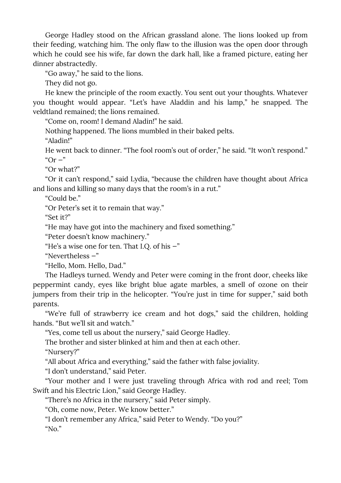George Hadley stood on the African grassland alone. The lions looked up from their feeding, watching him. The only flaw to the illusion was the open door through which he could see his wife, far down the dark hall, like a framed picture, eating her dinner abstractedly.

"Go away," he said to the lions.

They did not go.

He knew the principle of the room exactly. You sent out your thoughts. Whatever you thought would appear. "Let's have Aladdin and his lamp," he snapped. The veldtland remained; the lions remained.

"Come on, room! I demand Aladin!" he said.

Nothing happened. The lions mumbled in their baked pelts.

"Aladin!"

He went back to dinner. "The fool room's out of order," he said. "It won't respond." " $Or -$ "

"Or what?"

"Or it can't respond," said Lydia, "because the children have thought about Africa and lions and killing so many days that the room's in a rut."

"Could be."

"Or Peter's set it to remain that way."

"Set it?"

"He may have got into the machinery and fixed something."

"Peter doesn't know machinery."

"He's a wise one for ten. That I.Q. of his  $-$ "

"Nevertheless —"

"Hello, Mom. Hello, Dad."

The Hadleys turned. Wendy and Peter were coming in the front door, cheeks like peppermint candy, eyes like bright blue agate marbles, a smell of ozone on their jumpers from their trip in the helicopter. "You're just in time for supper," said both parents.

"We're full of strawberry ice cream and hot dogs," said the children, holding hands. "But we'll sit and watch."

"Yes, come tell us about the nursery," said George Hadley.

The brother and sister blinked at him and then at each other.

"Nursery?"

"All about Africa and everything," said the father with false joviality.

"I don't understand," said Peter.

"Your mother and I were just traveling through Africa with rod and reel; Tom Swift and his Electric Lion," said George Hadley.

"There's no Africa in the nursery," said Peter simply.

"Oh, come now, Peter. We know better."

"I don't remember any Africa," said Peter to Wendy. "Do you?"

"No."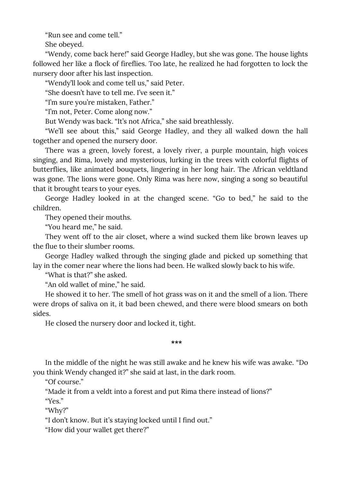"Run see and come tell."

She obeyed.

"Wendy, come back here!" said George Hadley, but she was gone. The house lights followed her like a flock of fireflies. Too late, he realized he had forgotten to lock the nursery door after his last inspection.

"Wendy'll look and come tell us," said Peter.

"She doesn't have to tell me. I've seen it."

"I'm sure you're mistaken, Father."

"I'm not, Peter. Come along now."

But Wendy was back. "It's not Africa," she said breathlessly.

"We'll see about this," said George Hadley, and they all walked down the hall together and opened the nursery door.

There was a green, lovely forest, a lovely river, a purple mountain, high voices singing, and Rima, lovely and mysterious, lurking in the trees with colorful flights of butterflies, like animated bouquets, lingering in her long hair. The African veldtland was gone. The lions were gone. Only Rima was here now, singing a song so beautiful that it brought tears to your eyes.

George Hadley looked in at the changed scene. "Go to bed," he said to the children.

They opened their mouths.

"You heard me," he said.

They went off to the air closet, where a wind sucked them like brown leaves up the flue to their slumber rooms.

George Hadley walked through the singing glade and picked up something that lay in the comer near where the lions had been. He walked slowly back to his wife.

"What is that?" she asked.

"An old wallet of mine," he said.

He showed it to her. The smell of hot grass was on it and the smell of a lion. There were drops of saliva on it, it bad been chewed, and there were blood smears on both sides.

He closed the nursery door and locked it, tight.

**\*\*\***

In the middle of the night he was still awake and he knew his wife was awake. "Do you think Wendy changed it?" she said at last, in the dark room.

"Of course."

"Made it from a veldt into a forest and put Rima there instead of lions?"

"Yes."

"Why?"

"I don't know. But it's staying locked until I find out."

"How did your wallet get there?"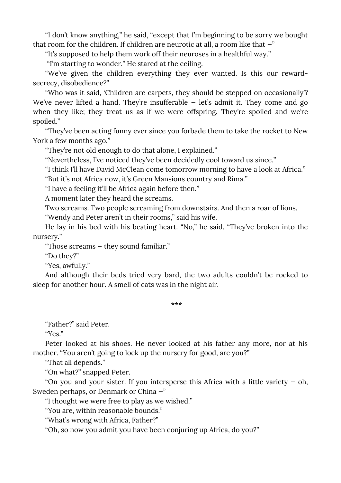"I don't know anything," he said, "except that I'm beginning to be sorry we bought that room for the children. If children are neurotic at all, a room like that  $-\overline{a}$ 

"It's supposed to help them work off their neuroses in a healthful way."

"I'm starting to wonder." He stared at the ceiling.

"We've given the children everything they ever wanted. Is this our rewardsecrecy, disobedience?"

"Who was it said, 'Children are carpets, they should be stepped on occasionally'? We've never lifted a hand. They're insufferable  $-$  let's admit it. They come and go when they like; they treat us as if we were offspring. They're spoiled and we're spoiled."

"They've been acting funny ever since you forbade them to take the rocket to New York a few months ago."

"They're not old enough to do that alone, I explained."

"Nevertheless, I've noticed they've been decidedly cool toward us since."

"I think I'll have David McClean come tomorrow morning to have a look at Africa."

"But it's not Africa now, it's Green Mansions country and Rima."

"I have a feeling it'll be Africa again before then."

A moment later they heard the screams.

Two screams. Two people screaming from downstairs. And then a roar of lions.

"Wendy and Peter aren't in their rooms," said his wife.

He lay in his bed with his beating heart. "No," he said. "They've broken into the nursery."

"Those screams — they sound familiar."

"Do they?"

"Yes, awfully."

And although their beds tried very bard, the two adults couldn't be rocked to sleep for another hour. A smell of cats was in the night air.

**\*\*\***

"Father?" said Peter.

"Yes."

Peter looked at his shoes. He never looked at his father any more, nor at his mother. "You aren't going to lock up the nursery for good, are you?"

"That all depends."

"On what?" snapped Peter.

"On you and your sister. If you intersperse this Africa with a little variety  $-$  oh, Sweden perhaps, or Denmark or China —"

"I thought we were free to play as we wished."

"You are, within reasonable bounds."

"What's wrong with Africa, Father?"

"Oh, so now you admit you have been conjuring up Africa, do you?"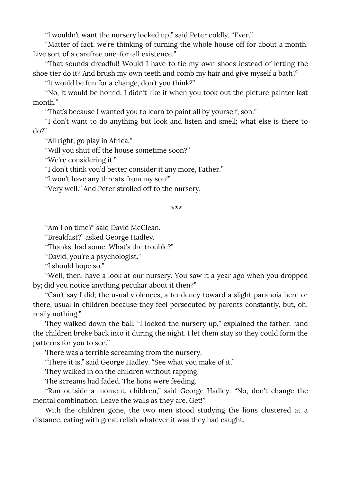"I wouldn't want the nursery locked up," said Peter coldly. "Ever."

"Matter of fact, we're thinking of turning the whole house off for about a month. Live sort of a carefree one-for-all existence."

"That sounds dreadful! Would I have to tie my own shoes instead of letting the shoe tier do it? And brush my own teeth and comb my hair and give myself a bath?"

"It would be fun for a change, don't you think?"

"No, it would be horrid. I didn't like it when you took out the picture painter last month."

"That's because I wanted you to learn to paint all by yourself, son."

"I don't want to do anything but look and listen and smell; what else is there to do?"

"All right, go play in Africa."

"Will you shut off the house sometime soon?"

"We're considering it."

"I don't think you'd better consider it any more, Father."

"I won't have any threats from my son!"

"Very well." And Peter strolled off to the nursery.

**\*\*\***

"Am I on time?" said David McClean.

"Breakfast?" asked George Hadley.

"Thanks, had some. What's the trouble?"

"David, you're a psychologist."

"I should hope so."

"Well, then, have a look at our nursery. You saw it a year ago when you dropped by; did you notice anything peculiar about it then?"

"Can't say I did; the usual violences, a tendency toward a slight paranoia here or there, usual in children because they feel persecuted by parents constantly, but, oh, really nothing."

They walked down the ball. "I locked the nursery up," explained the father, "and the children broke back into it during the night. I let them stay so they could form the patterns for you to see."

There was a terrible screaming from the nursery.

"There it is," said George Hadley. "See what you make of it."

They walked in on the children without rapping.

The screams had faded. The lions were feeding.

"Run outside a moment, children," said George Hadley. "No, don't change the mental combination. Leave the walls as they are. Get!"

With the children gone, the two men stood studying the lions clustered at a distance, eating with great relish whatever it was they had caught.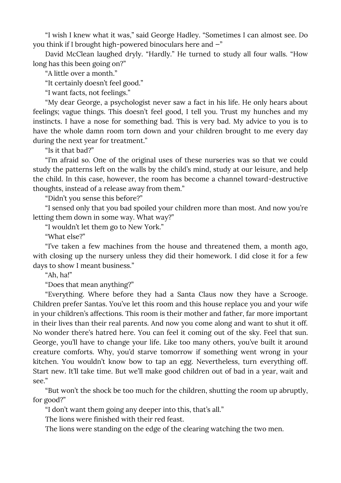"I wish I knew what it was," said George Hadley. "Sometimes I can almost see. Do you think if I brought high-powered binoculars here and —"

David McClean laughed dryly. "Hardly." He turned to study all four walls. "How long has this been going on?"

"A little over a month."

"It certainly doesn't feel good."

"I want facts, not feelings."

"My dear George, a psychologist never saw a fact in his life. He only hears about feelings; vague things. This doesn't feel good, I tell you. Trust my hunches and my instincts. I have a nose for something bad. This is very bad. My advice to you is to have the whole damn room torn down and your children brought to me every day during the next year for treatment."

"Is it that bad?"

"I'm afraid so. One of the original uses of these nurseries was so that we could study the patterns left on the walls by the child's mind, study at our leisure, and help the child. In this case, however, the room has become a channel toward-destructive thoughts, instead of a release away from them."

"Didn't you sense this before?"

"I sensed only that you bad spoiled your children more than most. And now you're letting them down in some way. What way?"

"I wouldn't let them go to New York."

"What else?"

"I've taken a few machines from the house and threatened them, a month ago, with closing up the nursery unless they did their homework. I did close it for a few days to show I meant business."

"Ah, ha!"

"Does that mean anything?"

"Everything. Where before they had a Santa Claus now they have a Scrooge. Children prefer Santas. You've let this room and this house replace you and your wife in your children's affections. This room is their mother and father, far more important in their lives than their real parents. And now you come along and want to shut it off. No wonder there's hatred here. You can feel it coming out of the sky. Feel that sun. George, you'll have to change your life. Like too many others, you've built it around creature comforts. Why, you'd starve tomorrow if something went wrong in your kitchen. You wouldn't know bow to tap an egg. Nevertheless, turn everything off. Start new. It'll take time. But we'll make good children out of bad in a year, wait and see."

"But won't the shock be too much for the children, shutting the room up abruptly, for good?"

"I don't want them going any deeper into this, that's all."

The lions were finished with their red feast.

The lions were standing on the edge of the clearing watching the two men.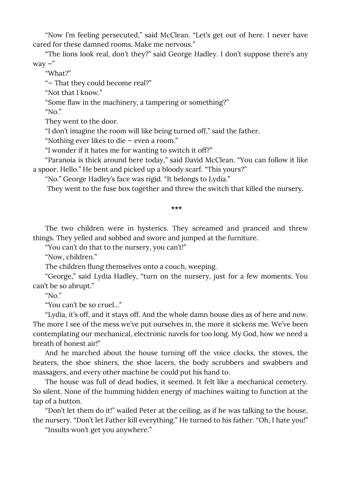"Now I'm feeling persecuted," said McClean. "Let's get out of here. I never have cared for these damned rooms. Make me nervous."

"The lions look real, don't they?" said George Hadley. I don't suppose there's any way  $-$ "

"What?"

"— That they could become real?"

"Not that I know."

"Some flaw in the machinery, a tampering or something?"

"No."

They went to the door.

"I don't imagine the room will like being turned off," said the father.

"Nothing ever likes to die — even a room."

"I wonder if it hates me for wanting to switch it off?"

"Paranoia is thick around here today," said David McClean. "You can follow it like a spoor. Hello." He bent and picked up a bloody scarf. "This yours?"

"No." George Hadley's face was rigid. "It belongs to Lydia."

They went to the fuse box together and threw the switch that killed the nursery.

**\*\*\***

The two children were in hysterics. They screamed and pranced and threw things. They yelled and sobbed and swore and jumped at the furniture.

"You can't do that to the nursery, you can't!"

"Now, children."

The children flung themselves onto a couch, weeping.

"George," said Lydia Hadley, "turn on the nursery, just for a few moments. You can't be so abrupt."

"No."

"You can't be so cruel..."

"Lydia, it's off, and it stays off. And the whole damn house dies as of here and now. The more I see of the mess we've put ourselves in, the more it sickens me. We've been contemplating our mechanical, electronic navels for too long. My God, how we need a breath of honest air!"

And he marched about the house turning off the voice clocks, the stoves, the heaters, the shoe shiners, the shoe lacers, the body scrubbers and swabbers and massagers, and every other machine be could put his hand to.

The house was full of dead bodies, it seemed. It felt like a mechanical cemetery. So silent. None of the humming hidden energy of machines waiting to function at the tap of a button.

"Don't let them do it!" wailed Peter at the ceiling, as if he was talking to the house, the nursery. "Don't let Father kill everything." He turned to his father. "Oh, I hate you!"

"Insults won't get you anywhere."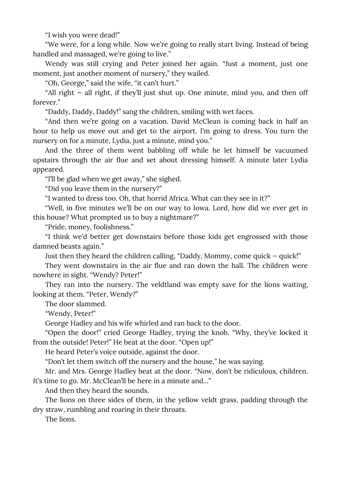"I wish you were dead!"

"We were, for a long while. Now we're going to really start living. Instead of being handled and massaged, we're going to live."

Wendy was still crying and Peter joined her again. "Just a moment, just one moment, just another moment of nursery," they wailed.

"Oh, George," said the wife, "it can't hurt."

"All right — all right, if they'll just shut up. One minute, mind you, and then off forever."

"Daddy, Daddy, Daddy!" sang the children, smiling with wet faces.

"And then we're going on a vacation. David McClean is coming back in half an hour to help us move out and get to the airport. I'm going to dress. You turn the nursery on for a minute, Lydia, just a minute, mind you."

And the three of them went babbling off while he let himself be vacuumed upstairs through the air flue and set about dressing himself. A minute later Lydia appeared.

"I'll be glad when we get away," she sighed.

"Did you leave them in the nursery?"

"I wanted to dress too. Oh, that horrid Africa. What can they see in it?"

"Well, in five minutes we'll be on our way to Iowa. Lord, how did we ever get in this house? What prompted us to buy a nightmare?"

"Pride, money, foolishness."

"I think we'd better get downstairs before those kids get engrossed with those damned beasts again."

Just then they heard the children calling, "Daddy, Mommy, come quick  $-$  quick!"

They went downstairs in the air flue and ran down the hall. The children were nowhere in sight. "Wendy? Peter!"

They ran into the nursery. The veldtland was empty save for the lions waiting, looking at them. "Peter, Wendy?"

The door slammed.

"Wendy, Peter!"

George Hadley and his wife whirled and ran back to the door.

"Open the door!" cried George Hadley, trying the knob. "Why, they've locked it from the outside! Peter!" He beat at the door. "Open up!"

He heard Peter's voice outside, against the door.

"Don't let them switch off the nursery and the house," he was saying.

Mr. and Mrs. George Hadley beat at the door. "Now, don't be ridiculous, children.

It's time to go. Mr. McClean'll be here in a minute and..."

And then they heard the sounds.

The lions on three sides of them, in the yellow veldt grass, padding through the dry straw, rumbling and roaring in their throats.

The lions.